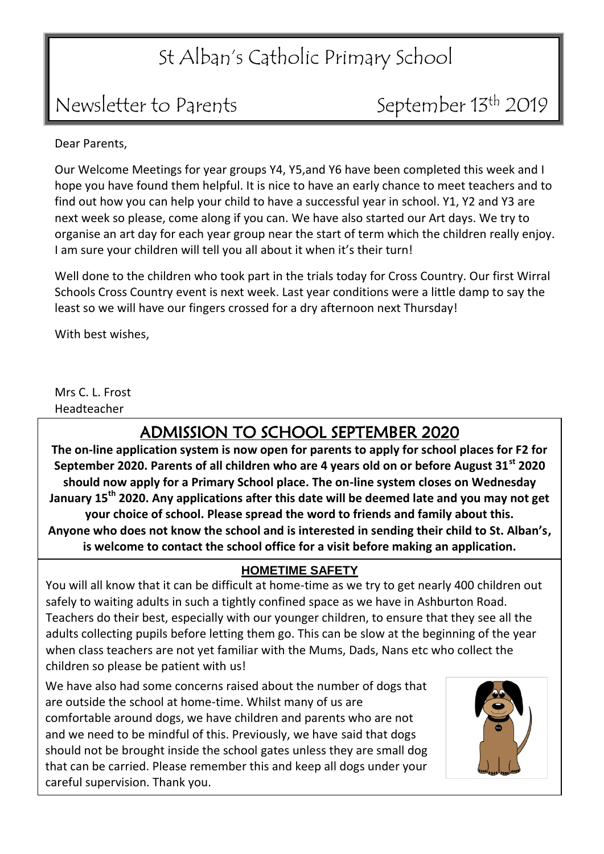### St Alban's Catholic Primary School

### Newsletter to Parents September 13<sup>th</sup> 2019

Dear Parents,

Our Welcome Meetings for year groups Y4, Y5,and Y6 have been completed this week and I hope you have found them helpful. It is nice to have an early chance to meet teachers and to find out how you can help your child to have a successful year in school. Y1, Y2 and Y3 are next week so please, come along if you can. We have also started our Art days. We try to organise an art day for each year group near the start of term which the children really enjoy. I am sure your children will tell you all about it when it's their turn!

Well done to the children who took part in the trials today for Cross Country. Our first Wirral Schools Cross Country event is next week. Last year conditions were a little damp to say the least so we will have our fingers crossed for a dry afternoon next Thursday!

With best wishes,

Mrs C. L. Frost Headteacher

#### ADMISSION TO SCHOOL SEPTEMBER 2020

**The on-line application system is now open for parents to apply for school places for F2 for September 2020. Parents of all children who are 4 years old on or before August 31st 2020 should now apply for a Primary School place. The on-line system closes on Wednesday January 15th 2020. Any applications after this date will be deemed late and you may not get your choice of school. Please spread the word to friends and family about this. Anyone who does not know the school and is interested in sending their child to St. Alban's, is welcome to contact the school office for a visit before making an application.**

#### **HOMETIME SAFETY**

You will all know that it can be difficult at home-time as we try to get nearly 400 children out safely to waiting adults in such a tightly confined space as we have in Ashburton Road. Teachers do their best, especially with our younger children, to ensure that they see all the adults collecting pupils before letting them go. This can be slow at the beginning of the year when class teachers are not yet familiar with the Mums, Dads, Nans etc who collect the children so please be patient with us!

We have also had some concerns raised about the number of dogs that are outside the school at home-time. Whilst many of us are comfortable around dogs, we have children and parents who are not and we need to be mindful of this. Previously, we have said that dogs should not be brought inside the school gates unless they are small dog that can be carried. Please remember this and keep all dogs under your careful supervision. Thank you.